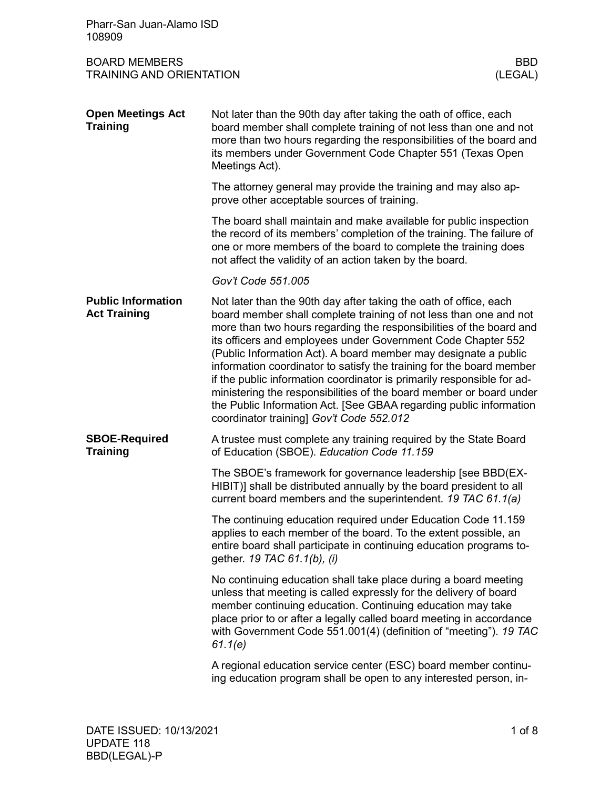| Pharr-San Juan-Alamo ISD<br>108909                                               |                                                                                                                                                                                                                                                                                                                                                                                                                                                                                                                                                                                                                                                                                             |  |  |
|----------------------------------------------------------------------------------|---------------------------------------------------------------------------------------------------------------------------------------------------------------------------------------------------------------------------------------------------------------------------------------------------------------------------------------------------------------------------------------------------------------------------------------------------------------------------------------------------------------------------------------------------------------------------------------------------------------------------------------------------------------------------------------------|--|--|
| <b>BOARD MEMBERS</b><br><b>BBD</b><br><b>TRAINING AND ORIENTATION</b><br>(LEGAL) |                                                                                                                                                                                                                                                                                                                                                                                                                                                                                                                                                                                                                                                                                             |  |  |
| <b>Open Meetings Act</b><br><b>Training</b>                                      | Not later than the 90th day after taking the oath of office, each<br>board member shall complete training of not less than one and not<br>more than two hours regarding the responsibilities of the board and<br>its members under Government Code Chapter 551 (Texas Open<br>Meetings Act).                                                                                                                                                                                                                                                                                                                                                                                                |  |  |
|                                                                                  | The attorney general may provide the training and may also ap-<br>prove other acceptable sources of training.                                                                                                                                                                                                                                                                                                                                                                                                                                                                                                                                                                               |  |  |
|                                                                                  | The board shall maintain and make available for public inspection<br>the record of its members' completion of the training. The failure of<br>one or more members of the board to complete the training does<br>not affect the validity of an action taken by the board.                                                                                                                                                                                                                                                                                                                                                                                                                    |  |  |
|                                                                                  | Gov't Code 551.005                                                                                                                                                                                                                                                                                                                                                                                                                                                                                                                                                                                                                                                                          |  |  |
| <b>Public Information</b><br><b>Act Training</b>                                 | Not later than the 90th day after taking the oath of office, each<br>board member shall complete training of not less than one and not<br>more than two hours regarding the responsibilities of the board and<br>its officers and employees under Government Code Chapter 552<br>(Public Information Act). A board member may designate a public<br>information coordinator to satisfy the training for the board member<br>if the public information coordinator is primarily responsible for ad-<br>ministering the responsibilities of the board member or board under<br>the Public Information Act. [See GBAA regarding public information<br>coordinator training] Gov't Code 552.012 |  |  |
| <b>SBOE-Required</b><br><b>Training</b>                                          | A trustee must complete any training required by the State Board<br>of Education (SBOE). Education Code 11.159                                                                                                                                                                                                                                                                                                                                                                                                                                                                                                                                                                              |  |  |
|                                                                                  | The SBOE's framework for governance leadership [see BBD(EX-<br>HIBIT)] shall be distributed annually by the board president to all<br>current board members and the superintendent. 19 TAC 61.1(a)                                                                                                                                                                                                                                                                                                                                                                                                                                                                                          |  |  |
|                                                                                  | The continuing education required under Education Code 11.159<br>applies to each member of the board. To the extent possible, an<br>entire board shall participate in continuing education programs to-<br>gether. 19 TAC 61.1(b), (i)                                                                                                                                                                                                                                                                                                                                                                                                                                                      |  |  |
|                                                                                  | No continuing education shall take place during a board meeting<br>unless that meeting is called expressly for the delivery of board<br>member continuing education. Continuing education may take<br>place prior to or after a legally called board meeting in accordance<br>with Government Code 551.001(4) (definition of "meeting"). 19 TAC<br>61.1(e)                                                                                                                                                                                                                                                                                                                                  |  |  |
|                                                                                  | A regional education service center (ESC) board member continu-<br>ing education program shall be open to any interested person, in-                                                                                                                                                                                                                                                                                                                                                                                                                                                                                                                                                        |  |  |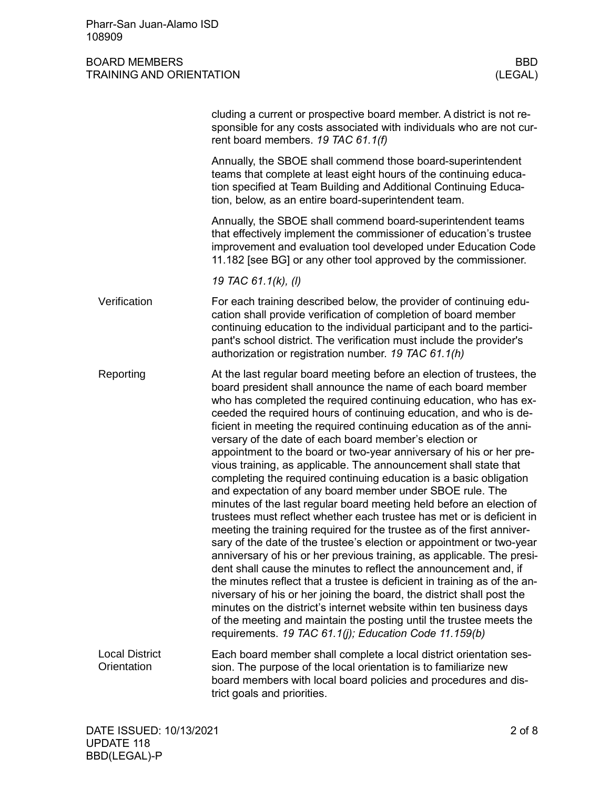|                                      | cluding a current or prospective board member. A district is not re-<br>sponsible for any costs associated with individuals who are not cur-<br>rent board members. 19 TAC 61.1(f)                                                                                                                                                                                                                                                                                                                                                                                                                                                                                                                                                                                                                                                                                                                                                                                                                                                                                                                                                                                                                                                                                                                                                                                                                                                                                                                             |
|--------------------------------------|----------------------------------------------------------------------------------------------------------------------------------------------------------------------------------------------------------------------------------------------------------------------------------------------------------------------------------------------------------------------------------------------------------------------------------------------------------------------------------------------------------------------------------------------------------------------------------------------------------------------------------------------------------------------------------------------------------------------------------------------------------------------------------------------------------------------------------------------------------------------------------------------------------------------------------------------------------------------------------------------------------------------------------------------------------------------------------------------------------------------------------------------------------------------------------------------------------------------------------------------------------------------------------------------------------------------------------------------------------------------------------------------------------------------------------------------------------------------------------------------------------------|
|                                      | Annually, the SBOE shall commend those board-superintendent<br>teams that complete at least eight hours of the continuing educa-<br>tion specified at Team Building and Additional Continuing Educa-<br>tion, below, as an entire board-superintendent team.                                                                                                                                                                                                                                                                                                                                                                                                                                                                                                                                                                                                                                                                                                                                                                                                                                                                                                                                                                                                                                                                                                                                                                                                                                                   |
|                                      | Annually, the SBOE shall commend board-superintendent teams<br>that effectively implement the commissioner of education's trustee<br>improvement and evaluation tool developed under Education Code<br>11.182 [see BG] or any other tool approved by the commissioner.                                                                                                                                                                                                                                                                                                                                                                                                                                                                                                                                                                                                                                                                                                                                                                                                                                                                                                                                                                                                                                                                                                                                                                                                                                         |
|                                      | 19 TAC 61.1(k), (l)                                                                                                                                                                                                                                                                                                                                                                                                                                                                                                                                                                                                                                                                                                                                                                                                                                                                                                                                                                                                                                                                                                                                                                                                                                                                                                                                                                                                                                                                                            |
| Verification                         | For each training described below, the provider of continuing edu-<br>cation shall provide verification of completion of board member<br>continuing education to the individual participant and to the partici-<br>pant's school district. The verification must include the provider's<br>authorization or registration number. 19 TAC 61.1(h)                                                                                                                                                                                                                                                                                                                                                                                                                                                                                                                                                                                                                                                                                                                                                                                                                                                                                                                                                                                                                                                                                                                                                                |
| Reporting                            | At the last regular board meeting before an election of trustees, the<br>board president shall announce the name of each board member<br>who has completed the required continuing education, who has ex-<br>ceeded the required hours of continuing education, and who is de-<br>ficient in meeting the required continuing education as of the anni-<br>versary of the date of each board member's election or<br>appointment to the board or two-year anniversary of his or her pre-<br>vious training, as applicable. The announcement shall state that<br>completing the required continuing education is a basic obligation<br>and expectation of any board member under SBOE rule. The<br>minutes of the last regular board meeting held before an election of<br>trustees must reflect whether each trustee has met or is deficient in<br>meeting the training required for the trustee as of the first anniver-<br>sary of the date of the trustee's election or appointment or two-year<br>anniversary of his or her previous training, as applicable. The presi-<br>dent shall cause the minutes to reflect the announcement and, if<br>the minutes reflect that a trustee is deficient in training as of the an-<br>niversary of his or her joining the board, the district shall post the<br>minutes on the district's internet website within ten business days<br>of the meeting and maintain the posting until the trustee meets the<br>requirements. 19 TAC 61.1(j); Education Code 11.159(b) |
| <b>Local District</b><br>Orientation | Each board member shall complete a local district orientation ses-<br>sion. The purpose of the local orientation is to familiarize new<br>board members with local board policies and procedures and dis-<br>trict goals and priorities.                                                                                                                                                                                                                                                                                                                                                                                                                                                                                                                                                                                                                                                                                                                                                                                                                                                                                                                                                                                                                                                                                                                                                                                                                                                                       |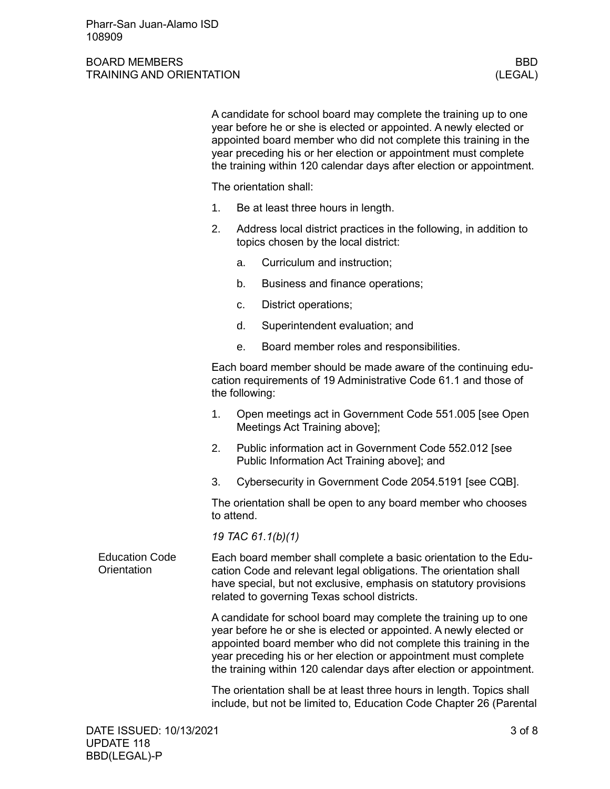|                                      |                                                                                                                                                                                                                                                                                                                                                      | A candidate for school board may complete the training up to one<br>year before he or she is elected or appointed. A newly elected or<br>appointed board member who did not complete this training in the<br>year preceding his or her election or appointment must complete<br>the training within 120 calendar days after election or appointment. |  |  |  |
|--------------------------------------|------------------------------------------------------------------------------------------------------------------------------------------------------------------------------------------------------------------------------------------------------------------------------------------------------------------------------------------------------|------------------------------------------------------------------------------------------------------------------------------------------------------------------------------------------------------------------------------------------------------------------------------------------------------------------------------------------------------|--|--|--|
|                                      | The orientation shall:                                                                                                                                                                                                                                                                                                                               |                                                                                                                                                                                                                                                                                                                                                      |  |  |  |
|                                      | 1.                                                                                                                                                                                                                                                                                                                                                   | Be at least three hours in length.                                                                                                                                                                                                                                                                                                                   |  |  |  |
|                                      | 2.                                                                                                                                                                                                                                                                                                                                                   | Address local district practices in the following, in addition to<br>topics chosen by the local district:                                                                                                                                                                                                                                            |  |  |  |
|                                      |                                                                                                                                                                                                                                                                                                                                                      | Curriculum and instruction;<br>a.                                                                                                                                                                                                                                                                                                                    |  |  |  |
|                                      |                                                                                                                                                                                                                                                                                                                                                      | Business and finance operations;<br>b.                                                                                                                                                                                                                                                                                                               |  |  |  |
|                                      |                                                                                                                                                                                                                                                                                                                                                      | District operations;<br>c.                                                                                                                                                                                                                                                                                                                           |  |  |  |
|                                      |                                                                                                                                                                                                                                                                                                                                                      | Superintendent evaluation; and<br>d.                                                                                                                                                                                                                                                                                                                 |  |  |  |
|                                      |                                                                                                                                                                                                                                                                                                                                                      | Board member roles and responsibilities.<br>е.                                                                                                                                                                                                                                                                                                       |  |  |  |
|                                      | Each board member should be made aware of the continuing edu-<br>cation requirements of 19 Administrative Code 61.1 and those of<br>the following:                                                                                                                                                                                                   |                                                                                                                                                                                                                                                                                                                                                      |  |  |  |
|                                      | 1.                                                                                                                                                                                                                                                                                                                                                   | Open meetings act in Government Code 551.005 [see Open<br>Meetings Act Training above];                                                                                                                                                                                                                                                              |  |  |  |
|                                      | 2.                                                                                                                                                                                                                                                                                                                                                   | Public information act in Government Code 552.012 [see<br>Public Information Act Training above]; and                                                                                                                                                                                                                                                |  |  |  |
|                                      | 3.                                                                                                                                                                                                                                                                                                                                                   | Cybersecurity in Government Code 2054.5191 [see CQB].                                                                                                                                                                                                                                                                                                |  |  |  |
|                                      | The orientation shall be open to any board member who chooses<br>to attend.                                                                                                                                                                                                                                                                          |                                                                                                                                                                                                                                                                                                                                                      |  |  |  |
|                                      | 19 TAC 61.1(b)(1)                                                                                                                                                                                                                                                                                                                                    |                                                                                                                                                                                                                                                                                                                                                      |  |  |  |
| <b>Education Code</b><br>Orientation | Each board member shall complete a basic orientation to the Edu-<br>cation Code and relevant legal obligations. The orientation shall<br>have special, but not exclusive, emphasis on statutory provisions<br>related to governing Texas school districts.                                                                                           |                                                                                                                                                                                                                                                                                                                                                      |  |  |  |
|                                      | A candidate for school board may complete the training up to one<br>year before he or she is elected or appointed. A newly elected or<br>appointed board member who did not complete this training in the<br>year preceding his or her election or appointment must complete<br>the training within 120 calendar days after election or appointment. |                                                                                                                                                                                                                                                                                                                                                      |  |  |  |
|                                      | The orientation shall be at least three hours in length. Topics shall<br>include, but not be limited to, Education Code Chapter 26 (Parental                                                                                                                                                                                                         |                                                                                                                                                                                                                                                                                                                                                      |  |  |  |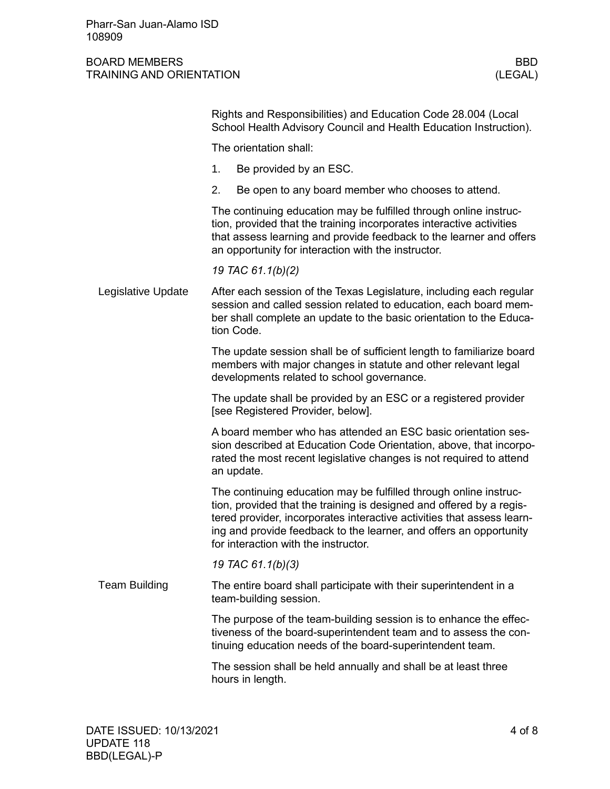|  |                      | Rights and Responsibilities) and Education Code 28.004 (Local<br>School Health Advisory Council and Health Education Instruction).                                                                                                                                                                                                |  |  |  |  |
|--|----------------------|-----------------------------------------------------------------------------------------------------------------------------------------------------------------------------------------------------------------------------------------------------------------------------------------------------------------------------------|--|--|--|--|
|  |                      | The orientation shall:                                                                                                                                                                                                                                                                                                            |  |  |  |  |
|  |                      | 1.<br>Be provided by an ESC.                                                                                                                                                                                                                                                                                                      |  |  |  |  |
|  |                      | 2.<br>Be open to any board member who chooses to attend.                                                                                                                                                                                                                                                                          |  |  |  |  |
|  |                      | The continuing education may be fulfilled through online instruc-<br>tion, provided that the training incorporates interactive activities<br>that assess learning and provide feedback to the learner and offers<br>an opportunity for interaction with the instructor.                                                           |  |  |  |  |
|  |                      | 19 TAC 61.1(b)(2)                                                                                                                                                                                                                                                                                                                 |  |  |  |  |
|  | Legislative Update   | After each session of the Texas Legislature, including each regular<br>session and called session related to education, each board mem-<br>ber shall complete an update to the basic orientation to the Educa-<br>tion Code.                                                                                                      |  |  |  |  |
|  |                      | The update session shall be of sufficient length to familiarize board<br>members with major changes in statute and other relevant legal<br>developments related to school governance.                                                                                                                                             |  |  |  |  |
|  |                      | The update shall be provided by an ESC or a registered provider<br>[see Registered Provider, below].                                                                                                                                                                                                                              |  |  |  |  |
|  |                      | A board member who has attended an ESC basic orientation ses-<br>sion described at Education Code Orientation, above, that incorpo-<br>rated the most recent legislative changes is not required to attend<br>an update.                                                                                                          |  |  |  |  |
|  |                      | The continuing education may be fulfilled through online instruc-<br>tion, provided that the training is designed and offered by a regis-<br>tered provider, incorporates interactive activities that assess learn-<br>ing and provide feedback to the learner, and offers an opportunity<br>for interaction with the instructor. |  |  |  |  |
|  |                      | 19 TAC 61.1(b)(3)                                                                                                                                                                                                                                                                                                                 |  |  |  |  |
|  | <b>Team Building</b> | The entire board shall participate with their superintendent in a<br>team-building session.                                                                                                                                                                                                                                       |  |  |  |  |
|  |                      | The purpose of the team-building session is to enhance the effec-<br>tiveness of the board-superintendent team and to assess the con-<br>tinuing education needs of the board-superintendent team.                                                                                                                                |  |  |  |  |
|  |                      | The session shall be held annually and shall be at least three<br>hours in length.                                                                                                                                                                                                                                                |  |  |  |  |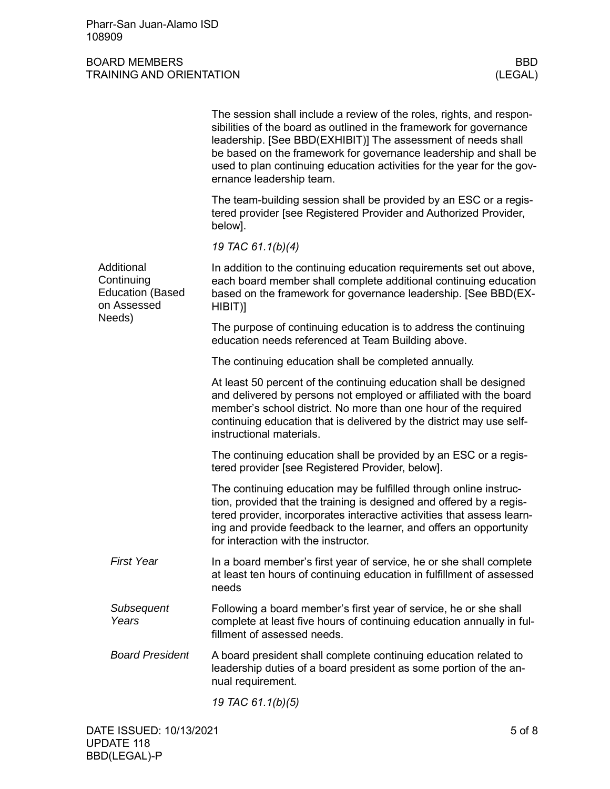Pharr-San Juan-Alamo ISD 108909

|  |                                                                    | The session shall include a review of the roles, rights, and respon-<br>sibilities of the board as outlined in the framework for governance<br>leadership. [See BBD(EXHIBIT)] The assessment of needs shall<br>be based on the framework for governance leadership and shall be<br>used to plan continuing education activities for the year for the gov-<br>ernance leadership team. |
|--|--------------------------------------------------------------------|---------------------------------------------------------------------------------------------------------------------------------------------------------------------------------------------------------------------------------------------------------------------------------------------------------------------------------------------------------------------------------------|
|  |                                                                    | The team-building session shall be provided by an ESC or a regis-<br>tered provider [see Registered Provider and Authorized Provider,<br>below].                                                                                                                                                                                                                                      |
|  |                                                                    | 19 TAC 61.1(b)(4)                                                                                                                                                                                                                                                                                                                                                                     |
|  | Additional<br>Continuing<br><b>Education (Based</b><br>on Assessed | In addition to the continuing education requirements set out above,<br>each board member shall complete additional continuing education<br>based on the framework for governance leadership. [See BBD(EX-<br>HIBIT)]                                                                                                                                                                  |
|  | Needs)                                                             | The purpose of continuing education is to address the continuing<br>education needs referenced at Team Building above.                                                                                                                                                                                                                                                                |
|  |                                                                    | The continuing education shall be completed annually.                                                                                                                                                                                                                                                                                                                                 |
|  |                                                                    | At least 50 percent of the continuing education shall be designed<br>and delivered by persons not employed or affiliated with the board<br>member's school district. No more than one hour of the required<br>continuing education that is delivered by the district may use self-<br>instructional materials.                                                                        |
|  |                                                                    | The continuing education shall be provided by an ESC or a regis-<br>tered provider [see Registered Provider, below].                                                                                                                                                                                                                                                                  |
|  |                                                                    | The continuing education may be fulfilled through online instruc-<br>tion, provided that the training is designed and offered by a regis-<br>tered provider, incorporates interactive activities that assess learn-<br>ing and provide feedback to the learner, and offers an opportunity<br>for interaction with the instructor.                                                     |
|  | <b>First Year</b>                                                  | In a board member's first year of service, he or she shall complete<br>at least ten hours of continuing education in fulfillment of assessed<br>needs                                                                                                                                                                                                                                 |
|  | Subsequent<br>Years                                                | Following a board member's first year of service, he or she shall<br>complete at least five hours of continuing education annually in ful-<br>fillment of assessed needs.                                                                                                                                                                                                             |
|  | <b>Board President</b>                                             | A board president shall complete continuing education related to<br>leadership duties of a board president as some portion of the an-<br>nual requirement.                                                                                                                                                                                                                            |
|  |                                                                    | 19 TAC 61.1(b)(5)                                                                                                                                                                                                                                                                                                                                                                     |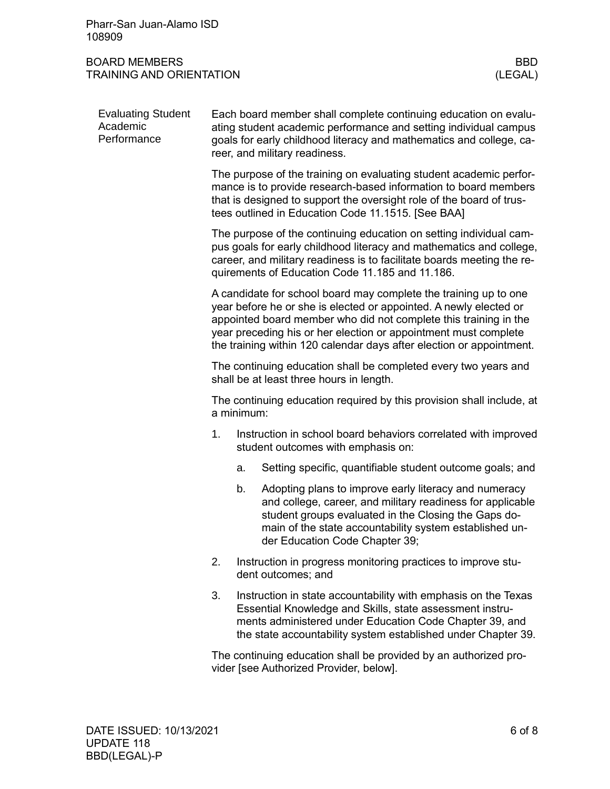| Pharr-San Juan-Alamo ISD |  |
|--------------------------|--|
| 108909                   |  |

# BOARD MEMBERS BOARD MEMBERS BOARD MEMBERS BBD<br>TRAINING AND ORIENTATION TRAINING AND ORIENTATION

| <b>Evaluating Student</b><br>Academic<br>Performance | Each board member shall complete continuing education on evalu-<br>ating student academic performance and setting individual campus<br>goals for early childhood literacy and mathematics and college, ca-<br>reer, and military readiness.                                                                                                          |                                                                                                                                                                                                                                                                        |                                                                                                                                                                                                                                                                          |  |  |  |
|------------------------------------------------------|------------------------------------------------------------------------------------------------------------------------------------------------------------------------------------------------------------------------------------------------------------------------------------------------------------------------------------------------------|------------------------------------------------------------------------------------------------------------------------------------------------------------------------------------------------------------------------------------------------------------------------|--------------------------------------------------------------------------------------------------------------------------------------------------------------------------------------------------------------------------------------------------------------------------|--|--|--|
|                                                      | The purpose of the training on evaluating student academic perfor-<br>mance is to provide research-based information to board members<br>that is designed to support the oversight role of the board of trus-<br>tees outlined in Education Code 11.1515. [See BAA]                                                                                  |                                                                                                                                                                                                                                                                        |                                                                                                                                                                                                                                                                          |  |  |  |
|                                                      |                                                                                                                                                                                                                                                                                                                                                      | The purpose of the continuing education on setting individual cam-<br>pus goals for early childhood literacy and mathematics and college,<br>career, and military readiness is to facilitate boards meeting the re-<br>quirements of Education Code 11.185 and 11.186. |                                                                                                                                                                                                                                                                          |  |  |  |
|                                                      | A candidate for school board may complete the training up to one<br>year before he or she is elected or appointed. A newly elected or<br>appointed board member who did not complete this training in the<br>year preceding his or her election or appointment must complete<br>the training within 120 calendar days after election or appointment. |                                                                                                                                                                                                                                                                        |                                                                                                                                                                                                                                                                          |  |  |  |
|                                                      | The continuing education shall be completed every two years and<br>shall be at least three hours in length.                                                                                                                                                                                                                                          |                                                                                                                                                                                                                                                                        |                                                                                                                                                                                                                                                                          |  |  |  |
|                                                      | The continuing education required by this provision shall include, at<br>a minimum:                                                                                                                                                                                                                                                                  |                                                                                                                                                                                                                                                                        |                                                                                                                                                                                                                                                                          |  |  |  |
|                                                      | 1.                                                                                                                                                                                                                                                                                                                                                   |                                                                                                                                                                                                                                                                        | Instruction in school board behaviors correlated with improved<br>student outcomes with emphasis on:                                                                                                                                                                     |  |  |  |
|                                                      |                                                                                                                                                                                                                                                                                                                                                      | a.                                                                                                                                                                                                                                                                     | Setting specific, quantifiable student outcome goals; and                                                                                                                                                                                                                |  |  |  |
|                                                      |                                                                                                                                                                                                                                                                                                                                                      | b.                                                                                                                                                                                                                                                                     | Adopting plans to improve early literacy and numeracy<br>and college, career, and military readiness for applicable<br>student groups evaluated in the Closing the Gaps do-<br>main of the state accountability system established un-<br>der Education Code Chapter 39; |  |  |  |
|                                                      | 2.                                                                                                                                                                                                                                                                                                                                                   |                                                                                                                                                                                                                                                                        | Instruction in progress monitoring practices to improve stu-<br>dent outcomes; and                                                                                                                                                                                       |  |  |  |
|                                                      | 3.                                                                                                                                                                                                                                                                                                                                                   |                                                                                                                                                                                                                                                                        | Instruction in state accountability with emphasis on the Texas<br>Essential Knowledge and Skills, state assessment instru-<br>ments administered under Education Code Chapter 39, and<br>the state accountability system established under Chapter 39.                   |  |  |  |
|                                                      |                                                                                                                                                                                                                                                                                                                                                      |                                                                                                                                                                                                                                                                        | The continuing education shall be provided by an authorized pro-<br>vider [see Authorized Provider, below].                                                                                                                                                              |  |  |  |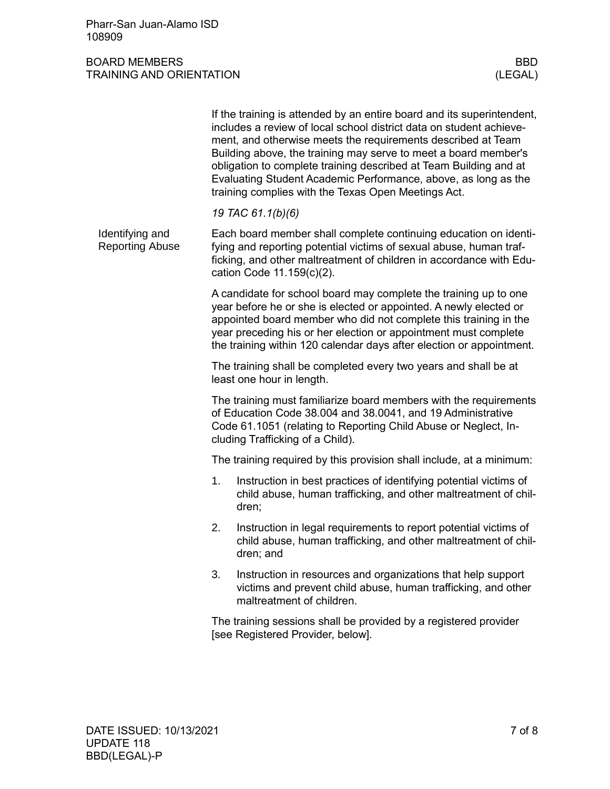|                                                                                                                                                                                                                                                                                                                                                      | If the training is attended by an entire board and its superintendent,<br>includes a review of local school district data on student achieve-<br>ment, and otherwise meets the requirements described at Team<br>Building above, the training may serve to meet a board member's<br>obligation to complete training described at Team Building and at<br>Evaluating Student Academic Performance, above, as long as the<br>training complies with the Texas Open Meetings Act. |  |  |  |
|------------------------------------------------------------------------------------------------------------------------------------------------------------------------------------------------------------------------------------------------------------------------------------------------------------------------------------------------------|--------------------------------------------------------------------------------------------------------------------------------------------------------------------------------------------------------------------------------------------------------------------------------------------------------------------------------------------------------------------------------------------------------------------------------------------------------------------------------|--|--|--|
|                                                                                                                                                                                                                                                                                                                                                      | 19 TAC 61.1(b)(6)                                                                                                                                                                                                                                                                                                                                                                                                                                                              |  |  |  |
| Each board member shall complete continuing education on identi-<br>fying and reporting potential victims of sexual abuse, human traf-<br>ficking, and other maltreatment of children in accordance with Edu-<br>cation Code 11.159(c)(2).                                                                                                           |                                                                                                                                                                                                                                                                                                                                                                                                                                                                                |  |  |  |
| A candidate for school board may complete the training up to one<br>year before he or she is elected or appointed. A newly elected or<br>appointed board member who did not complete this training in the<br>year preceding his or her election or appointment must complete<br>the training within 120 calendar days after election or appointment. |                                                                                                                                                                                                                                                                                                                                                                                                                                                                                |  |  |  |
| The training shall be completed every two years and shall be at<br>least one hour in length.                                                                                                                                                                                                                                                         |                                                                                                                                                                                                                                                                                                                                                                                                                                                                                |  |  |  |
| The training must familiarize board members with the requirements<br>of Education Code 38.004 and 38.0041, and 19 Administrative<br>Code 61.1051 (relating to Reporting Child Abuse or Neglect, In-<br>cluding Trafficking of a Child).                                                                                                              |                                                                                                                                                                                                                                                                                                                                                                                                                                                                                |  |  |  |
| The training required by this provision shall include, at a minimum:                                                                                                                                                                                                                                                                                 |                                                                                                                                                                                                                                                                                                                                                                                                                                                                                |  |  |  |
| 1.                                                                                                                                                                                                                                                                                                                                                   | Instruction in best practices of identifying potential victims of<br>child abuse, human trafficking, and other maltreatment of chil-<br>dren;                                                                                                                                                                                                                                                                                                                                  |  |  |  |
| 2.                                                                                                                                                                                                                                                                                                                                                   | Instruction in legal requirements to report potential victims of<br>child abuse, human trafficking, and other maltreatment of chil-<br>dren; and                                                                                                                                                                                                                                                                                                                               |  |  |  |
| 3.                                                                                                                                                                                                                                                                                                                                                   | Instruction in resources and organizations that help support<br>victims and prevent child abuse, human trafficking, and other<br>maltreatment of children.                                                                                                                                                                                                                                                                                                                     |  |  |  |
|                                                                                                                                                                                                                                                                                                                                                      | The training sessions shall be provided by a registered provider<br>[see Registered Provider, below].                                                                                                                                                                                                                                                                                                                                                                          |  |  |  |
|                                                                                                                                                                                                                                                                                                                                                      |                                                                                                                                                                                                                                                                                                                                                                                                                                                                                |  |  |  |